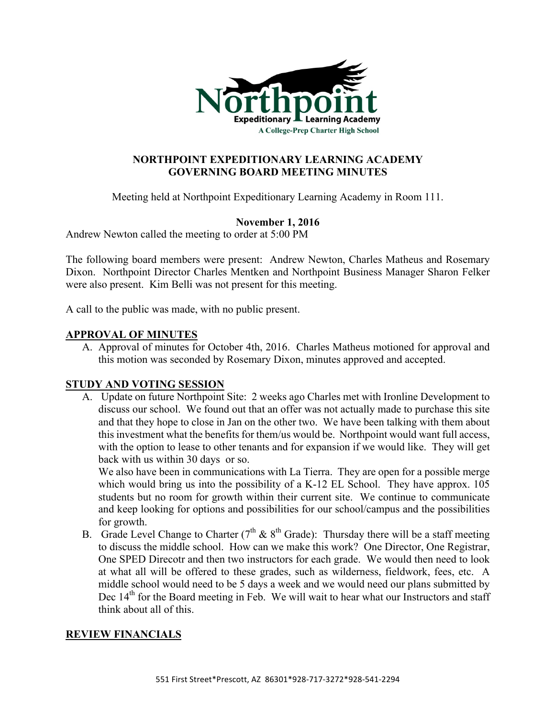

# **NORTHPOINT EXPEDITIONARY LEARNING ACADEMY GOVERNING BOARD MEETING MINUTES**

Meeting held at Northpoint Expeditionary Learning Academy in Room 111.

## **November 1, 2016**

Andrew Newton called the meeting to order at 5:00 PM

The following board members were present: Andrew Newton, Charles Matheus and Rosemary Dixon. Northpoint Director Charles Mentken and Northpoint Business Manager Sharon Felker were also present. Kim Belli was not present for this meeting.

A call to the public was made, with no public present.

### **APPROVAL OF MINUTES**

A. Approval of minutes for October 4th, 2016. Charles Matheus motioned for approval and this motion was seconded by Rosemary Dixon, minutes approved and accepted.

### **STUDY AND VOTING SESSION**

A. Update on future Northpoint Site: 2 weeks ago Charles met with Ironline Development to discuss our school. We found out that an offer was not actually made to purchase this site and that they hope to close in Jan on the other two. We have been talking with them about this investment what the benefits for them/us would be. Northpoint would want full access, with the option to lease to other tenants and for expansion if we would like. They will get back with us within 30 days or so.

We also have been in communications with La Tierra. They are open for a possible merge which would bring us into the possibility of a K-12 EL School. They have approx. 105 students but no room for growth within their current site. We continue to communicate and keep looking for options and possibilities for our school/campus and the possibilities for growth.

B. Grade Level Change to Charter ( $7<sup>th</sup>$  &  $8<sup>th</sup>$  Grade): Thursday there will be a staff meeting to discuss the middle school. How can we make this work? One Director, One Registrar, One SPED Direcotr and then two instructors for each grade. We would then need to look at what all will be offered to these grades, such as wilderness, fieldwork, fees, etc. A middle school would need to be 5 days a week and we would need our plans submitted by Dec  $14<sup>th</sup>$  for the Board meeting in Feb. We will wait to hear what our Instructors and staff think about all of this.

### **REVIEW FINANCIALS**